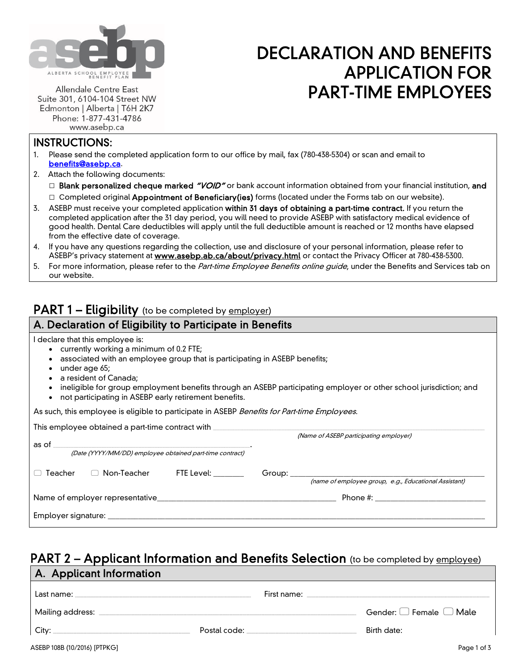

# DECLARATION AND BENEFITS APPLICATION FOR PART-TIME EMPLOYEES

Allendale Centre East Suite 301, 6104-104 Street NW Edmonton | Alberta | T6H 2K7 Phone: 1-877-431-4786 www.asebp.ca

## INSTRUCTIONS:

- 1. Please send the completed application form to our office by mail, fax (780-438-5304) or scan and email to [benefits@asebp.ca.](mailto:benefits@asebp.ca)
- 2. Attach the following documents:

□ Blank personalized cheque marked "VOID" or bank account information obtained from your financial institution, and  $\Box$  Completed original Appointment of Beneficiary(ies) forms (located under the Forms tab on our website).

- 3. ASEBP must receive your completed application within 31 days of obtaining a part-time contract. If you return the completed application after the 31 day period, you will need to provide ASEBP with satisfactory medical evidence of good health. Dental Care deductibles will apply until the full deductible amount is reached or 12 months have elapsed from the effective date of coverage.
- 4. If you have any questions regarding the collection, use and disclosure of your personal information, please refer to ASEBP's privacy statement at **www.asebp.ab.ca/about/privacy.html** or contact the Privacy Officer at 780-438-5300.
- 5. For more information, please refer to the Part-time Employee Benefits online quide, under the Benefits and Services tab on our website.

# PART 1 - Eligibility (to be completed by employer)

## A. Declaration of Eligibility to Participate in Benefits

I declare that this employee is:

- currently working a minimum of 0.2 FTE;
- associated with an employee group that is participating in ASEBP benefits;
- under age 65;
- a resident of Canada;
- ineligible for group employment benefits through an ASEBP participating employer or other school jurisdiction; and
- not participating in ASEBP early retirement benefits.

As such, this employee is eligible to participate in ASEBP Benefits for Part-time Employees.

|                                                                   | This employee obtained a part-time contract with |                         |                                        |                                                       |  |
|-------------------------------------------------------------------|--------------------------------------------------|-------------------------|----------------------------------------|-------------------------------------------------------|--|
| as of<br>(Date (YYYY/MM/DD) employee obtained part-time contract) |                                                  |                         | (Name of ASEBP participating employer) |                                                       |  |
|                                                                   |                                                  |                         |                                        |                                                       |  |
| Teacher                                                           | Non-Teacher<br>$\Box$                            | FTE Level: <b>Accel</b> | Group:                                 | (name of employee group, e.g., Educational Assistant) |  |
| Name of employer representative                                   |                                                  |                         |                                        |                                                       |  |
|                                                                   | Employer signature: _______________              |                         |                                        |                                                       |  |

# PART 2 – Applicant Information and Benefits Selection (to be completed by employee) A. Applicant Information

| Last name:<br>the control of the control of the control of the control of the control of the control of | First name:  |                                   |
|---------------------------------------------------------------------------------------------------------|--------------|-----------------------------------|
| Mailing address:                                                                                        |              | Gender: $\Box$ Female $\Box$ Male |
| City:                                                                                                   | Postal code: | Birth date:                       |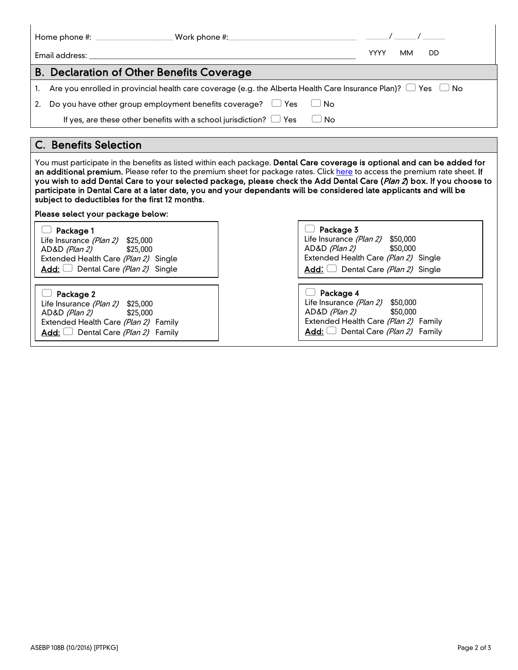|    | Work phone $\#$ :                                                                                                       |             |           |     |  |
|----|-------------------------------------------------------------------------------------------------------------------------|-------------|-----------|-----|--|
|    | Email address:                                                                                                          | <b>YYYY</b> | <b>MM</b> | DD. |  |
|    | <b>B. Declaration of Other Benefits Coverage</b>                                                                        |             |           |     |  |
|    | Are you enrolled in provincial health care coverage (e.g. the Alberta Health Care Insurance Plan)? $\Box$ Yes $\Box$ No |             |           |     |  |
| 2. | Do you have other group employment benefits coverage? $\Box$ Yes<br>UNo                                                 |             |           |     |  |
|    | If yes, are these other benefits with a school jurisdiction? $\Box$ Yes<br>No                                           |             |           |     |  |

### C. Benefits Selection

You must participate in the benefits as listed within each package. Dental Care coverage is optional and can be added for an additional premium. Please refer to the premium sheet for package rates. Clic[k here](https://www.asebp.ab.ca/resources/pdf/PTE_premium_rate_sheet.pdf) to access the premium rate sheet. If you wish to add Dental Care to your selected package, please check the Add Dental Care (Plan 2) box. If you choose to participate in Dental Care at a later date, you and your dependants will be considered late applicants and will be subject to deductibles for the first 12 months.

#### Please select your package below:

| Package 1                                                                                                                                                         | Package 3                                                                                                                                                                   |
|-------------------------------------------------------------------------------------------------------------------------------------------------------------------|-----------------------------------------------------------------------------------------------------------------------------------------------------------------------------|
| Life Insurance (Plan 2) \$25,000                                                                                                                                  | Life Insurance (Plan 2) \$50,000                                                                                                                                            |
| AD&D (Plan 2)                                                                                                                                                     | AD&D <i>(Plan 2)</i>                                                                                                                                                        |
| \$25,000                                                                                                                                                          | \$50,000                                                                                                                                                                    |
| Extended Health Care (Plan 2) Single                                                                                                                              | Extended Health Care (Plan 2) Single                                                                                                                                        |
| Add: $\Box$ Dental Care (Plan 2) Single                                                                                                                           | Add: $\Box$ Dental Care (Plan 2) Single                                                                                                                                     |
| Package 2<br>Life Insurance <i>(Plan 2)</i> \$25,000<br>AD&D (Plan 2) \$25,000<br>Extended Health Care (Plan 2) Family<br>Add: $\Box$ Dental Care (Plan 2) Family | Package 4<br>Life Insurance <i>(Plan 2)</i> \$50,000<br>AD&D <i>(Plan 2)</i><br>\$50,000<br>Extended Health Care (Plan 2) Family<br>Add: $\Box$ Dental Care (Plan 2) Family |